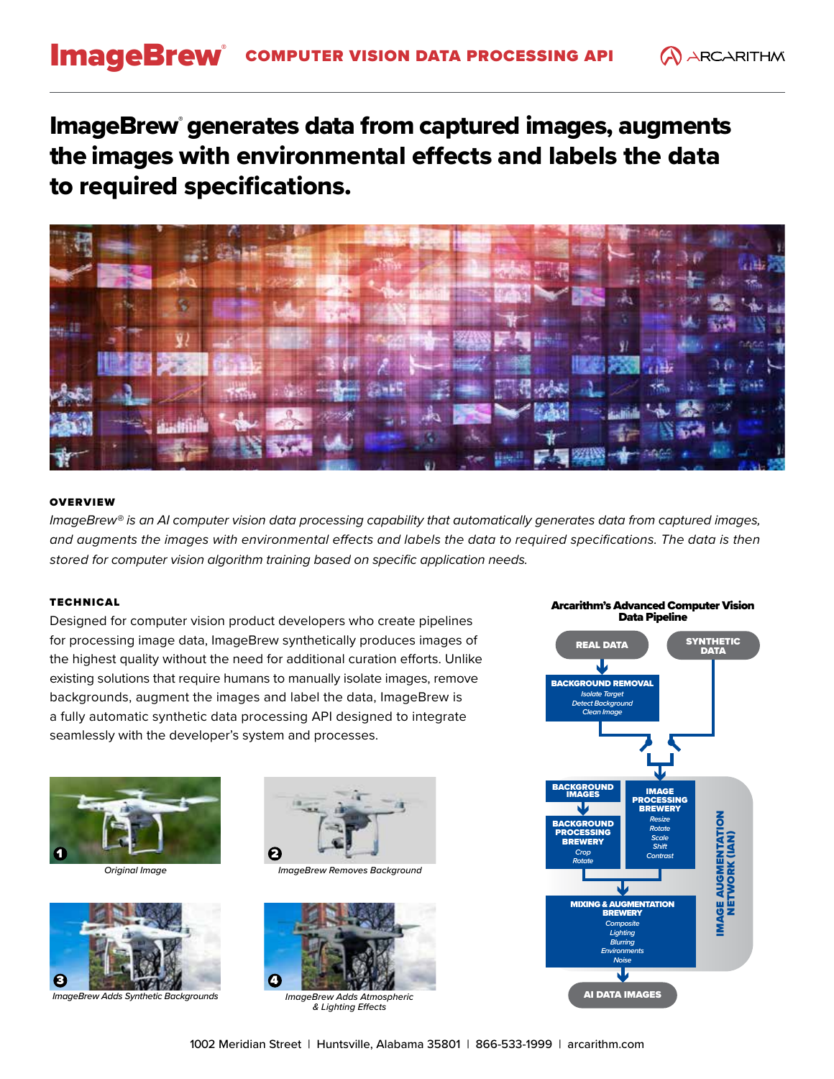# ImageBrew® generates data from captured images, augments the images with environmental effects and labels the data to required specifications.



## **OVERVIEW**

*ImageBrew® is an AI computer vision data processing capability that automatically generates data from captured images,*  and augments the images with environmental effects and labels the data to required specifications. The data is then *stored for computer vision algorithm training based on specific application needs.*

## TECHNICAL

Designed for computer vision product developers who create pipelines for processing image data, ImageBrew synthetically produces images of the highest quality without the need for additional curation efforts. Unlike existing solutions that require humans to manually isolate images, remove backgrounds, augment the images and label the data, ImageBrew is a fully automatic synthetic data processing API designed to integrate seamlessly with the developer's system and processes.





*ImageBrew Adds Synthetic Backgrounds ImageBrew Adds Atmospheric* 



*Original Image ImageBrew Removes Background*



*& Lighting Effects*